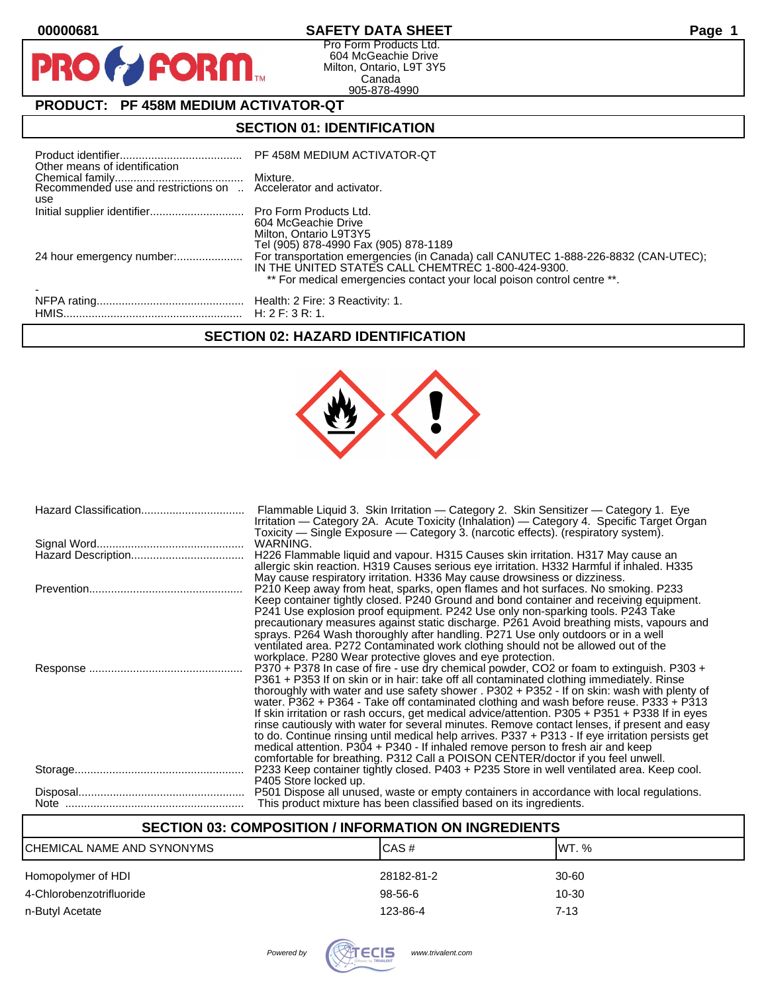$\mathbf O$ 

PR

## **00000681 SAFETY DATA SHEET Page 1**

Pro Form Products Ltd. 604 McGeachie Drive Milton, Ontario, L9T 3Y5 Canada 905-878-4990

## **PRODUCT: PF 458M MEDIUM ACTIVATOR-QT**

**FORM** 

## **SECTION 01: IDENTIFICATION**

| Other means of identification                                          | PF 458M MEDIUM ACTIVATOR-QT                                                                                                                                                                                         |
|------------------------------------------------------------------------|---------------------------------------------------------------------------------------------------------------------------------------------------------------------------------------------------------------------|
| Recommended use and restrictions on  Accelerator and activator.<br>use |                                                                                                                                                                                                                     |
|                                                                        | 604 McGeachie Drive<br>Milton, Ontario L9T3Y5<br>Tel (905) 878-4990 Fax (905) 878-1189                                                                                                                              |
| 24 hour emergency number:                                              | For transportation emergencies (in Canada) call CANUTEC 1-888-226-8832 (CAN-UTEC);<br>IN THE UNITED STATES CALL CHEMTREC 1-800-424-9300.<br>** For medical emergencies contact your local poison control centre **. |
|                                                                        |                                                                                                                                                                                                                     |

## **SECTION 02: HAZARD IDENTIFICATION**



| Flammable Liquid 3. Skin Irritation — Category 2. Skin Sensitizer — Category 1. Eye<br>Irritation — Category 2A. Acute Toxicity (Inhalation) — Category 4. Specific Target Organ<br>Toxicity — Single Exposure — Category 3. (narcotic effects). (respiratory system).                                                                                                                                                                                                                                                                                                                                                                                                                                                                                                                                                                                   |
|----------------------------------------------------------------------------------------------------------------------------------------------------------------------------------------------------------------------------------------------------------------------------------------------------------------------------------------------------------------------------------------------------------------------------------------------------------------------------------------------------------------------------------------------------------------------------------------------------------------------------------------------------------------------------------------------------------------------------------------------------------------------------------------------------------------------------------------------------------|
| WARNING.                                                                                                                                                                                                                                                                                                                                                                                                                                                                                                                                                                                                                                                                                                                                                                                                                                                 |
| H226 Flammable liquid and vapour. H315 Causes skin irritation. H317 May cause an<br>allergic skin reaction. H319 Causes serious eye irritation. H332 Harmful if inhaled. H335<br>May cause respiratory irritation. H336 May cause drowsiness or dizziness.                                                                                                                                                                                                                                                                                                                                                                                                                                                                                                                                                                                               |
| P210 Keep away from heat, sparks, open flames and hot surfaces. No smoking. P233<br>Keep container tightly closed. P240 Ground and bond container and receiving equipment.<br>P241 Use explosion proof equipment. P242 Use only non-sparking tools. P243 Take<br>precautionary measures against static discharge. P261 Avoid breathing mists, vapours and<br>sprays. P264 Wash thoroughly after handling. P271 Use only outdoors or in a well<br>ventilated area. P272 Contaminated work clothing should not be allowed out of the<br>workplace. P280 Wear protective gloves and eye protection.                                                                                                                                                                                                                                                         |
| P370 + P378 In case of fire - use dry chemical powder, CO2 or foam to extinguish. P303 +<br>P361 + P353 If on skin or in hair: take off all contaminated clothing immediately. Rinse<br>thoroughly with water and use safety shower . P302 + P352 - If on skin: wash with plenty of<br>water. P362 + P364 - Take off contaminated clothing and wash before reuse. P333 + P313<br>If skin irritation or rash occurs, get medical advice/attention. P305 + P351 + P338 If in eyes<br>rinse cautiously with water for several minutes. Remove contact lenses, if present and easy<br>to do. Continue rinsing until medical help arrives. P337 + P313 - If eye irritation persists get<br>medical attention. P304 + P340 - If inhaled remove person to fresh air and keep<br>comfortable for breathing. P312 Call a POISON CENTER/doctor if you feel unwell. |
| P233 Keep container tightly closed. P403 + P235 Store in well ventilated area. Keep cool.<br>P405 Store locked up.                                                                                                                                                                                                                                                                                                                                                                                                                                                                                                                                                                                                                                                                                                                                       |
| P501 Dispose all unused, waste or empty containers in accordance with local regulations.<br>This product mixture has been classified based on its ingredients.                                                                                                                                                                                                                                                                                                                                                                                                                                                                                                                                                                                                                                                                                           |

## **SECTION 03: COMPOSITION / INFORMATION ON INGREDIENTS**

| CHEMICAL NAME AND SYNONYMS | ICAS#      | IWT. %   |
|----------------------------|------------|----------|
| Homopolymer of HDI         | 28182-81-2 | 30-60    |
| 4-Chlorobenzotrifluoride   | $98-56-6$  | 10-30    |
| n-Butyl Acetate            | 123-86-4   | $7 - 13$ |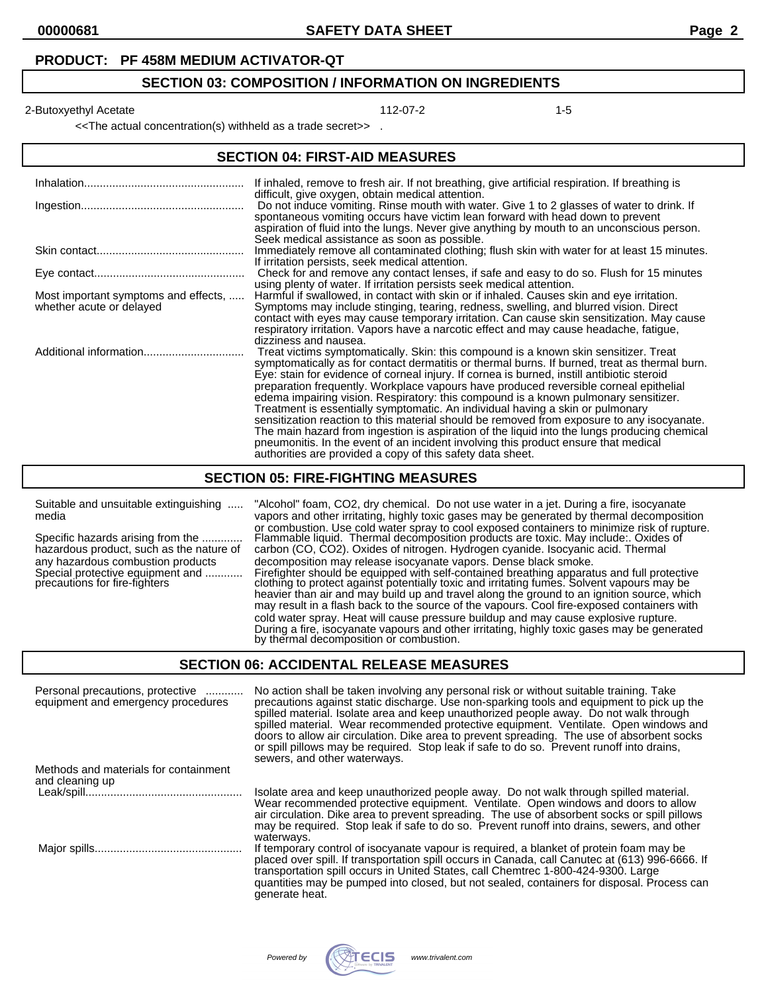#### **PRODUCT: PF 458M MEDIUM ACTIVATOR-QT**

#### **SECTION 03: COMPOSITION / INFORMATION ON INGREDIENTS**

2-Butoxyethyl Acetate 112-07-2 12-Butoxyethyl Acetate 112-07-2

<<The actual concentration(s) withheld as a trade secret>> .

#### **SECTION 04: FIRST-AID MEASURES**

|                                                                  | If inhaled, remove to fresh air. If not breathing, give artificial respiration. If breathing is<br>difficult, give oxygen, obtain medical attention.                                                                                                                                                                                                                                                                                                                                                                                                                                                                                                                                                                                                                                                                                                                                                     |
|------------------------------------------------------------------|----------------------------------------------------------------------------------------------------------------------------------------------------------------------------------------------------------------------------------------------------------------------------------------------------------------------------------------------------------------------------------------------------------------------------------------------------------------------------------------------------------------------------------------------------------------------------------------------------------------------------------------------------------------------------------------------------------------------------------------------------------------------------------------------------------------------------------------------------------------------------------------------------------|
|                                                                  | Do not induce vomiting. Rinse mouth with water. Give 1 to 2 glasses of water to drink. If<br>spontaneous vomiting occurs have victim lean forward with head down to prevent<br>aspiration of fluid into the lungs. Never give anything by mouth to an unconscious person.<br>Seek medical assistance as soon as possible.                                                                                                                                                                                                                                                                                                                                                                                                                                                                                                                                                                                |
|                                                                  | Immediately remove all contaminated clothing; flush skin with water for at least 15 minutes.<br>If irritation persists, seek medical attention.                                                                                                                                                                                                                                                                                                                                                                                                                                                                                                                                                                                                                                                                                                                                                          |
|                                                                  | Check for and remove any contact lenses, if safe and easy to do so. Flush for 15 minutes<br>using plenty of water. If irritation persists seek medical attention.                                                                                                                                                                                                                                                                                                                                                                                                                                                                                                                                                                                                                                                                                                                                        |
| Most important symptoms and effects,<br>whether acute or delayed | Harmful if swallowed, in contact with skin or if inhaled. Causes skin and eye irritation.<br>Symptoms may include stinging, tearing, redness, swelling, and blurred vision. Direct<br>contact with eyes may cause temporary irritation. Can cause skin sensitization. May cause<br>respiratory irritation. Vapors have a narcotic effect and may cause headache, fatigue,<br>dizziness and nausea.                                                                                                                                                                                                                                                                                                                                                                                                                                                                                                       |
| Additional information                                           | Treat victims symptomatically. Skin: this compound is a known skin sensitizer. Treat<br>symptomatically as for contact dermatitis or thermal burns. If burned, treat as thermal burn.<br>Eye: stain for evidence of corneal injury. If cornea is burned, instill antibiotic steroid<br>preparation frequently. Workplace vapours have produced reversible corneal epithelial<br>edema impairing vision. Respiratory: this compound is a known pulmonary sensitizer.<br>Treatment is essentially symptomatic. An individual having a skin or pulmonary<br>sensitization reaction to this material should be removed from exposure to any isocyanate.<br>The main hazard from ingestion is aspiration of the liquid into the lungs producing chemical<br>pneumonitis. In the event of an incident involving this product ensure that medical<br>authorities are provided a copy of this safety data sheet. |

#### **SECTION 05: FIRE-FIGHTING MEASURES**

Suitable and unsuitable extinguishing ..... "Alcohol" foam, CO2, dry chemical. Do not use water in a jet. During a fire, isocyanate media vapors and other irritating, highly toxic gases may be generated by thermal decomposition or combustion. Use cold water spray to cool exposed containers to minimize risk of rupture. Specific hazards arising from the ............. Flammable liquid. Thermal decomposition products are toxic. May include:. Oxides of Specific hazards arising from the ............. Flammable liquid. Thermal decomposition products are toxic. May include:. Oxides<br>hazardous product, such as the nature of carbon (CO, CO2). Oxides of nitrogen. Hydrogen cyani any hazardous combustion products decomposition may release isocyanate vapors. Dense black smoke.<br>Special protective equipment and ............ Firefighter should be equipped with self-contained breathing apparat Special protective equipment and ............ Firefighter should be equipped with self-contained breathing apparatus and full protective precautions for fire-fighters clothing to protect against potentially toxic and irritating fumes. Solvent vapours may be heavier than air and may build up and travel along the ground to an ignition source, which may result in a flash back to the source of the vapours. Cool fire-exposed containers with cold water spray. Heat will cause pressure buildup and may cause explosive rupture. During a fire, isocyanate vapours and other irritating, highly toxic gases may be generated by thermal decomposition or combustion.

#### **SECTION 06: ACCIDENTAL RELEASE MEASURES**

| Personal precautions, protective<br>equipment and emergency procedures | No action shall be taken involving any personal risk or without suitable training. Take<br>precautions against static discharge. Use non-sparking tools and equipment to pick up the<br>spilled material. Isolate area and keep unauthorized people away. Do not walk through<br>spilled material. Wear recommended protective equipment. Ventilate. Open windows and<br>doors to allow air circulation. Dike area to prevent spreading. The use of absorbent socks<br>or spill pillows may be required. Stop leak if safe to do so. Prevent runoff into drains,<br>sewers, and other waterways. |
|------------------------------------------------------------------------|--------------------------------------------------------------------------------------------------------------------------------------------------------------------------------------------------------------------------------------------------------------------------------------------------------------------------------------------------------------------------------------------------------------------------------------------------------------------------------------------------------------------------------------------------------------------------------------------------|
| Methods and materials for containment                                  |                                                                                                                                                                                                                                                                                                                                                                                                                                                                                                                                                                                                  |
| and cleaning up                                                        |                                                                                                                                                                                                                                                                                                                                                                                                                                                                                                                                                                                                  |
|                                                                        | Isolate area and keep unauthorized people away. Do not walk through spilled material.<br>Wear recommended protective equipment. Ventilate. Open windows and doors to allow<br>air circulation. Dike area to prevent spreading. The use of absorbent socks or spill pillows<br>may be required. Stop leak if safe to do so. Prevent runoff into drains, sewers, and other<br>waterways.                                                                                                                                                                                                           |
|                                                                        | If temporary control of isocyanate vapour is required, a blanket of protein foam may be<br>placed over spill. If transportation spill occurs in Canada, call Canutec at (613) 996-6666. If<br>transportation spill occurs in United States, call Chemtrec 1-800-424-9300. Large<br>quantities may be pumped into closed, but not sealed, containers for disposal. Process can<br>generate heat.                                                                                                                                                                                                  |

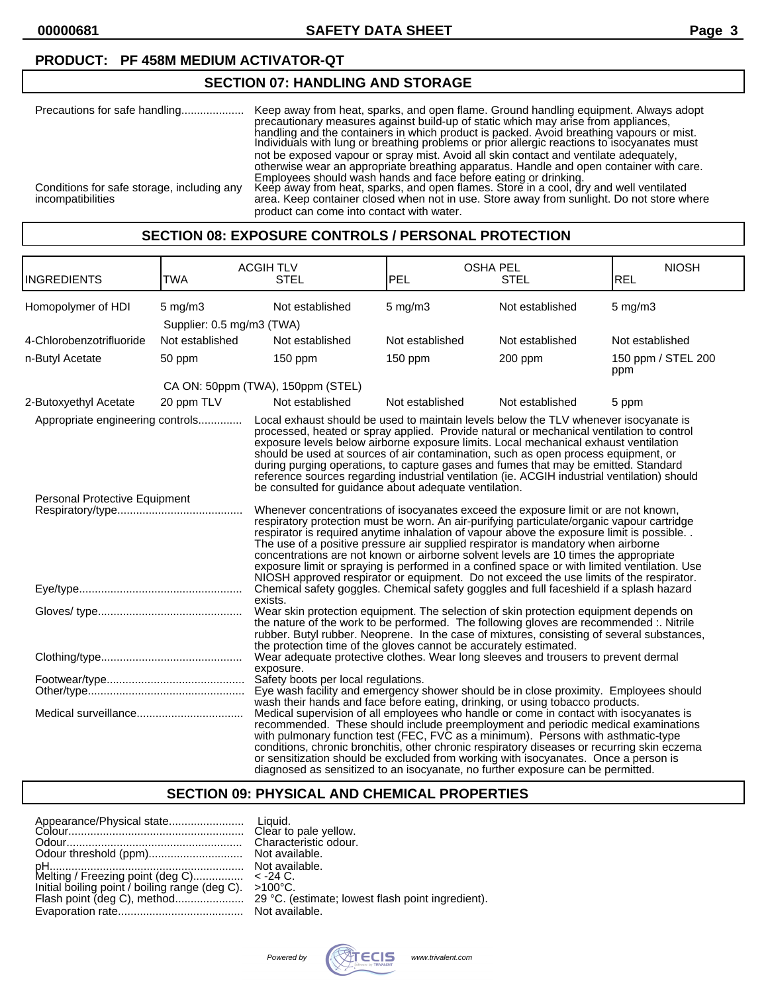#### **PRODUCT: PF 458M MEDIUM ACTIVATOR-QT**

## **SECTION 07: HANDLING AND STORAGE**

| Precautions for safe handling              | Keep away from heat, sparks, and open flame. Ground handling equipment. Always adopt<br>precautionary measures against build-up of static which may arise from appliances.<br>handling and the containers in which product is packed. Avoid breathing vapours or mist.<br>Individuals with lung or breathing problems or prior allergic reactions to isocyanates must |
|--------------------------------------------|-----------------------------------------------------------------------------------------------------------------------------------------------------------------------------------------------------------------------------------------------------------------------------------------------------------------------------------------------------------------------|
| Conditions for safe storage, including any | not be exposed vapour or spray mist. Avoid all skin contact and ventilate adequately,<br>otherwise wear an appropriate breathing apparatus. Handle and open container with care.<br>Employees should wash hands and face before eating or drinking.<br>Keep away from heat, sparks, and open flames. Store in a cool, dry and well ventilated                         |
| incompatibilities                          | area. Keep container closed when not in use. Store away from sunlight. Do not store where<br>product can come into contact with water.                                                                                                                                                                                                                                |

#### **SECTION 08: EXPOSURE CONTROLS / PERSONAL PROTECTION**

| <b>INGREDIENTS</b>                                                | <b>TWA</b>                                | <b>ACGIHTLV</b><br><b>STEL</b>                                                                                                                                                                                                                                                                                                                                                                                                                                                                                                                                                                                                                        | <b>OSHA PEL</b><br>PEL | <b>STEL</b>     | <b>NIOSH</b><br><b>REL</b> |
|-------------------------------------------------------------------|-------------------------------------------|-------------------------------------------------------------------------------------------------------------------------------------------------------------------------------------------------------------------------------------------------------------------------------------------------------------------------------------------------------------------------------------------------------------------------------------------------------------------------------------------------------------------------------------------------------------------------------------------------------------------------------------------------------|------------------------|-----------------|----------------------------|
| Homopolymer of HDI                                                | $5$ mg/m $3$<br>Supplier: 0.5 mg/m3 (TWA) | Not established                                                                                                                                                                                                                                                                                                                                                                                                                                                                                                                                                                                                                                       | $5$ mg/m $3$           | Not established | $5$ mg/m $3$               |
| 4-Chlorobenzotrifluoride                                          | Not established                           | Not established                                                                                                                                                                                                                                                                                                                                                                                                                                                                                                                                                                                                                                       | Not established        | Not established | Not established            |
| n-Butyl Acetate                                                   | 50 ppm                                    | $150$ ppm                                                                                                                                                                                                                                                                                                                                                                                                                                                                                                                                                                                                                                             | $150$ ppm              | 200 ppm         | 150 ppm / STEL 200<br>ppm  |
|                                                                   |                                           | CA ON: 50ppm (TWA), 150ppm (STEL)                                                                                                                                                                                                                                                                                                                                                                                                                                                                                                                                                                                                                     |                        |                 |                            |
| 2-Butoxyethyl Acetate                                             | 20 ppm TLV                                | Not established                                                                                                                                                                                                                                                                                                                                                                                                                                                                                                                                                                                                                                       | Not established        | Not established | 5 ppm                      |
| Appropriate engineering controls<br>Personal Protective Equipment |                                           | Local exhaust should be used to maintain levels below the TLV whenever isocyanate is<br>processed, heated or spray applied. Provide natural or mechanical ventilation to control<br>exposure levels below airborne exposure limits. Local mechanical exhaust ventilation<br>should be used at sources of air contamination, such as open process equipment, or<br>during purging operations, to capture gases and fumes that may be emitted. Standard<br>reference sources regarding industrial ventilation (ie. ACGIH industrial ventilation) should<br>be consulted for guidance about adequate ventilation.                                        |                        |                 |                            |
|                                                                   |                                           | Whenever concentrations of isocyanates exceed the exposure limit or are not known,<br>respiratory protection must be worn. An air-purifying particulate/organic vapour cartridge<br>respirator is required anytime inhalation of vapour above the exposure limit is possible.<br>The use of a positive pressure air supplied respirator is mandatory when airborne<br>concentrations are not known or airborne solvent levels are 10 times the appropriate<br>exposure limit or spraying is performed in a confined space or with limited ventilation. Use<br>NIOSH approved respirator or equipment. Do not exceed the use limits of the respirator. |                        |                 |                            |
|                                                                   |                                           | Chemical safety goggles. Chemical safety goggles and full faceshield if a splash hazard<br>exists.                                                                                                                                                                                                                                                                                                                                                                                                                                                                                                                                                    |                        |                 |                            |
|                                                                   |                                           | Wear skin protection equipment. The selection of skin protection equipment depends on<br>the nature of the work to be performed. The following gloves are recommended :. Nitrile<br>rubber. Butyl rubber. Neoprene. In the case of mixtures, consisting of several substances,<br>the protection time of the gloves cannot be accurately estimated.                                                                                                                                                                                                                                                                                                   |                        |                 |                            |
|                                                                   |                                           | Wear adequate protective clothes. Wear long sleeves and trousers to prevent dermal<br>exposure.                                                                                                                                                                                                                                                                                                                                                                                                                                                                                                                                                       |                        |                 |                            |
|                                                                   |                                           | Safety boots per local regulations.<br>Eye wash facility and emergency shower should be in close proximity. Employees should<br>wash their hands and face before eating, drinking, or using tobacco products.                                                                                                                                                                                                                                                                                                                                                                                                                                         |                        |                 |                            |
|                                                                   |                                           | Medical supervision of all employees who handle or come in contact with isocyanates is<br>recommended. These should include preemployment and periodic medical examinations<br>with pulmonary function test (FEC, FVC as a minimum). Persons with asthmatic-type<br>conditions, chronic bronchitis, other chronic respiratory diseases or recurring skin eczema<br>or sensitization should be excluded from working with isocyanates. Once a person is<br>diagnosed as sensitized to an isocyanate, no further exposure can be permitted.                                                                                                             |                        |                 |                            |

## **SECTION 09: PHYSICAL AND CHEMICAL PROPERTIES**

| Melting / Freezing point (deg C) $\epsilon$ -24 C.<br>Initial boiling point / boiling range (deg C). $>100^{\circ}$ C. |  |
|------------------------------------------------------------------------------------------------------------------------|--|
|------------------------------------------------------------------------------------------------------------------------|--|

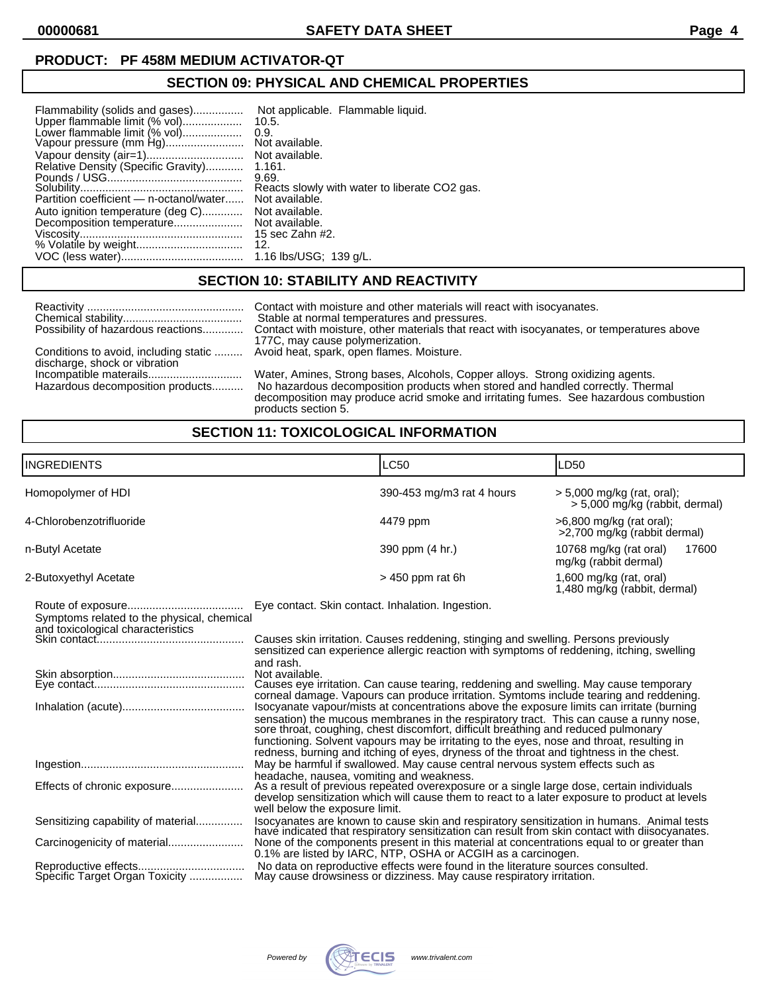#### **PRODUCT: PF 458M MEDIUM ACTIVATOR-QT**

# **SECTION 09: PHYSICAL AND CHEMICAL PROPERTIES**

| Flammability (solids and gases)<br>Upper flammable limit (% vol)<br>Lower flammable limit (% vol)<br>Vapour pressure (mm Hg)<br>Relative Density (Specific Gravity)<br>Partition coefficient - n-octanol/water<br>Auto ignition temperature (deg C)<br>Decomposition temperature | Not applicable. Flammable liquid.<br>10.5.<br>0.9.<br>Not available.<br>Not available.<br>1.161.<br>9.69.<br>Reacts slowly with water to liberate CO2 gas.<br>Not available.<br>Not available.<br>Not available.<br>15 sec Zahn #2. |
|----------------------------------------------------------------------------------------------------------------------------------------------------------------------------------------------------------------------------------------------------------------------------------|-------------------------------------------------------------------------------------------------------------------------------------------------------------------------------------------------------------------------------------|
|                                                                                                                                                                                                                                                                                  | 12.                                                                                                                                                                                                                                 |
|                                                                                                                                                                                                                                                                                  | 1.16 lbs/USG; 139 q/L.                                                                                                                                                                                                              |

## **SECTION 10: STABILITY AND REACTIVITY**

| Possibility of hazardous reactions    | Contact with moisture and other materials will react with isocyanates.<br>Stable at normal temperatures and pressures.<br>Contact with moisture, other materials that react with isocyanates, or temperatures above<br>177C, may cause polymerization. |
|---------------------------------------|--------------------------------------------------------------------------------------------------------------------------------------------------------------------------------------------------------------------------------------------------------|
| Conditions to avoid, including static | Avoid heat, spark, open flames. Moisture.                                                                                                                                                                                                              |
| discharge, shock or vibration         |                                                                                                                                                                                                                                                        |
|                                       | Water, Amines, Strong bases, Alcohols, Copper alloys. Strong oxidizing agents.                                                                                                                                                                         |
| Hazardous decomposition products      | No hazardous decomposition products when stored and handled correctly. Thermal<br>decomposition may produce acrid smoke and irritating fumes. See hazardous combustion                                                                                 |
|                                       | products section 5.                                                                                                                                                                                                                                    |

## **SECTION 11: TOXICOLOGICAL INFORMATION**

| <b>INGREDIENTS</b>                                                              | <b>LC50</b>                                                                                                                                                                                                                                                                                                                                                                                                                                                                                                                                                                                                                                                                                                                                                                                                                                                                                                               | LD <sub>50</sub>                                             |  |
|---------------------------------------------------------------------------------|---------------------------------------------------------------------------------------------------------------------------------------------------------------------------------------------------------------------------------------------------------------------------------------------------------------------------------------------------------------------------------------------------------------------------------------------------------------------------------------------------------------------------------------------------------------------------------------------------------------------------------------------------------------------------------------------------------------------------------------------------------------------------------------------------------------------------------------------------------------------------------------------------------------------------|--------------------------------------------------------------|--|
| Homopolymer of HDI                                                              | 390-453 mg/m3 rat 4 hours                                                                                                                                                                                                                                                                                                                                                                                                                                                                                                                                                                                                                                                                                                                                                                                                                                                                                                 | > 5,000 mg/kg (rat, oral);<br>> 5,000 mg/kg (rabbit, dermal) |  |
| 4-Chlorobenzotrifluoride                                                        | 4479 ppm                                                                                                                                                                                                                                                                                                                                                                                                                                                                                                                                                                                                                                                                                                                                                                                                                                                                                                                  | >6,800 mg/kg (rat oral);<br>>2,700 mg/kg (rabbit dermal)     |  |
| n-Butyl Acetate                                                                 | 390 ppm (4 hr.)                                                                                                                                                                                                                                                                                                                                                                                                                                                                                                                                                                                                                                                                                                                                                                                                                                                                                                           | 10768 mg/kg (rat oral)<br>17600<br>mg/kg (rabbit dermal)     |  |
| 2-Butoxyethyl Acetate                                                           | $>450$ ppm rat 6h                                                                                                                                                                                                                                                                                                                                                                                                                                                                                                                                                                                                                                                                                                                                                                                                                                                                                                         | 1,600 mg/kg (rat, oral)<br>1,480 mg/kg (rabbit, dermal)      |  |
| Symptoms related to the physical, chemical<br>and toxicological characteristics | Eye contact. Skin contact. Inhalation. Ingestion.<br>Causes skin irritation. Causes reddening, stinging and swelling. Persons previously<br>sensitized can experience allergic reaction with symptoms of reddening, itching, swelling<br>and rash.<br>Not available.<br>Causes eye irritation. Can cause tearing, reddening and swelling. May cause temporary<br>corneal damage. Vapours can produce irritation. Symtoms include tearing and reddening.<br>Isocyanate vapour/mists at concentrations above the exposure limits can irritate (burning<br>sensation) the mucous membranes in the respiratory tract. This can cause a runny nose, sore throat, coughing, chest discomfort, difficult breathing and reduced pulmonary<br>functioning. Solvent vapours may be irritating to the eyes, nose and throat, resulting in<br>redness, burning and itching of eyes, dryness of the throat and tightness in the chest. |                                                              |  |
| Effects of chronic exposure                                                     | May be harmful if swallowed. May cause central nervous system effects such as<br>headache, nausea, vomiting and weakness.<br>As a result of previous repeated overexposure or a single large dose, certain individuals<br>develop sensitization which will cause them to react to a later exposure to product at levels<br>well below the exposure limit.                                                                                                                                                                                                                                                                                                                                                                                                                                                                                                                                                                 |                                                              |  |
| Sensitizing capability of material<br>Specific Target Organ Toxicity            | Isocyanates are known to cause skin and respiratory sensitization in humans. Animal tests<br>have indicated that respiratory sensitization can result from skin contact with diisocyanates.<br>0.1% are listed by IARC, NTP, OSHA or ACGIH as a carcinogen.<br>No data on reproductive effects were found in the literature sources consulted.<br>May cause drowsiness or dizziness. May cause respiratory irritation.                                                                                                                                                                                                                                                                                                                                                                                                                                                                                                    |                                                              |  |